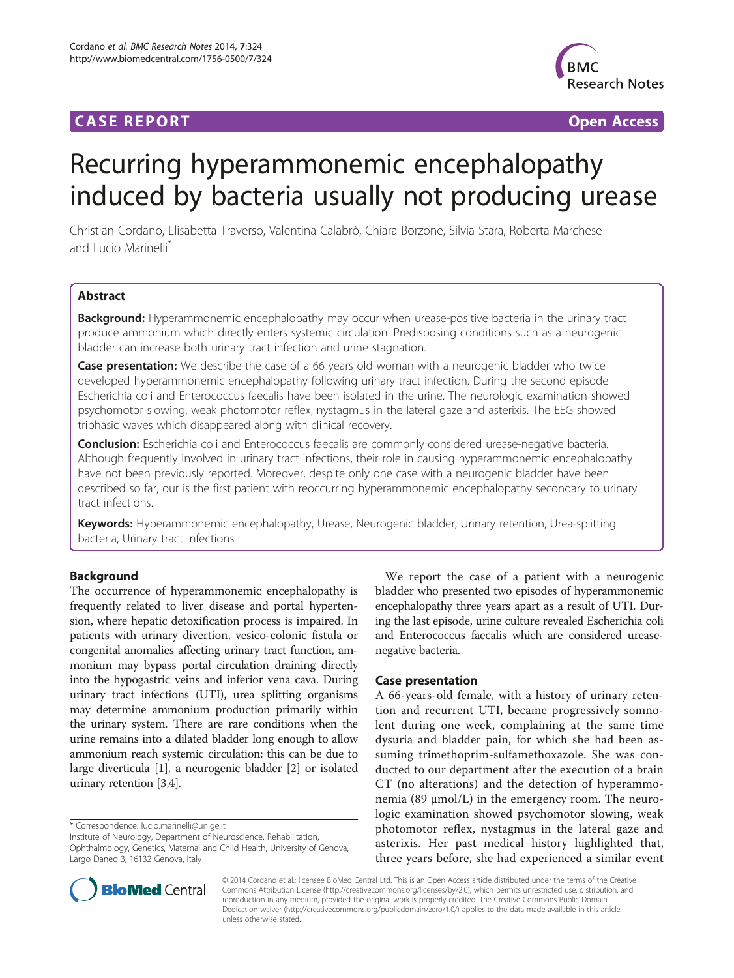# **CASE REPORT CASE REPORT CASE REPORT**



# Recurring hyperammonemic encephalopathy induced by bacteria usually not producing urease

Christian Cordano, Elisabetta Traverso, Valentina Calabrò, Chiara Borzone, Silvia Stara, Roberta Marchese and Lucio Marinelli\*

# Abstract

Background: Hyperammonemic encephalopathy may occur when urease-positive bacteria in the urinary tract produce ammonium which directly enters systemic circulation. Predisposing conditions such as a neurogenic bladder can increase both urinary tract infection and urine stagnation.

Case presentation: We describe the case of a 66 years old woman with a neurogenic bladder who twice developed hyperammonemic encephalopathy following urinary tract infection. During the second episode Escherichia coli and Enterococcus faecalis have been isolated in the urine. The neurologic examination showed psychomotor slowing, weak photomotor reflex, nystagmus in the lateral gaze and asterixis. The EEG showed triphasic waves which disappeared along with clinical recovery.

Conclusion: Escherichia coli and Enterococcus faecalis are commonly considered urease-negative bacteria. Although frequently involved in urinary tract infections, their role in causing hyperammonemic encephalopathy have not been previously reported. Moreover, despite only one case with a neurogenic bladder have been described so far, our is the first patient with reoccurring hyperammonemic encephalopathy secondary to urinary tract infections.

Keywords: Hyperammonemic encephalopathy, Urease, Neurogenic bladder, Urinary retention, Urea-splitting bacteria, Urinary tract infections

# Background

The occurrence of hyperammonemic encephalopathy is frequently related to liver disease and portal hypertension, where hepatic detoxification process is impaired. In patients with urinary divertion, vesico-colonic fistula or congenital anomalies affecting urinary tract function, ammonium may bypass portal circulation draining directly into the hypogastric veins and inferior vena cava. During urinary tract infections (UTI), urea splitting organisms may determine ammonium production primarily within the urinary system. There are rare conditions when the urine remains into a dilated bladder long enough to allow ammonium reach systemic circulation: this can be due to large diverticula [\[1](#page-2-0)], a neurogenic bladder [[2\]](#page-2-0) or isolated urinary retention [\[3,4\]](#page-2-0).

\* Correspondence: [lucio.marinelli@unige.it](mailto:lucio.marinelli@unige.it)

Institute of Neurology, Department of Neuroscience, Rehabilitation, Ophthalmology, Genetics, Maternal and Child Health, University of Genova, Largo Daneo 3, 16132 Genova, Italy

We report the case of a patient with a neurogenic bladder who presented two episodes of hyperammonemic encephalopathy three years apart as a result of UTI. During the last episode, urine culture revealed Escherichia coli and Enterococcus faecalis which are considered ureasenegative bacteria.

# Case presentation

A 66-years-old female, with a history of urinary retention and recurrent UTI, became progressively somnolent during one week, complaining at the same time dysuria and bladder pain, for which she had been assuming trimethoprim-sulfamethoxazole. She was conducted to our department after the execution of a brain CT (no alterations) and the detection of hyperammonemia (89 μmol/L) in the emergency room. The neurologic examination showed psychomotor slowing, weak photomotor reflex, nystagmus in the lateral gaze and asterixis. Her past medical history highlighted that, three years before, she had experienced a similar event



© 2014 Cordano et al.; licensee BioMed Central Ltd. This is an Open Access article distributed under the terms of the Creative Commons Attribution License [\(http://creativecommons.org/licenses/by/2.0\)](http://creativecommons.org/licenses/by/2.0), which permits unrestricted use, distribution, and reproduction in any medium, provided the original work is properly credited. The Creative Commons Public Domain Dedication waiver [\(http://creativecommons.org/publicdomain/zero/1.0/](http://creativecommons.org/publicdomain/zero/1.0/)) applies to the data made available in this article, unless otherwise stated.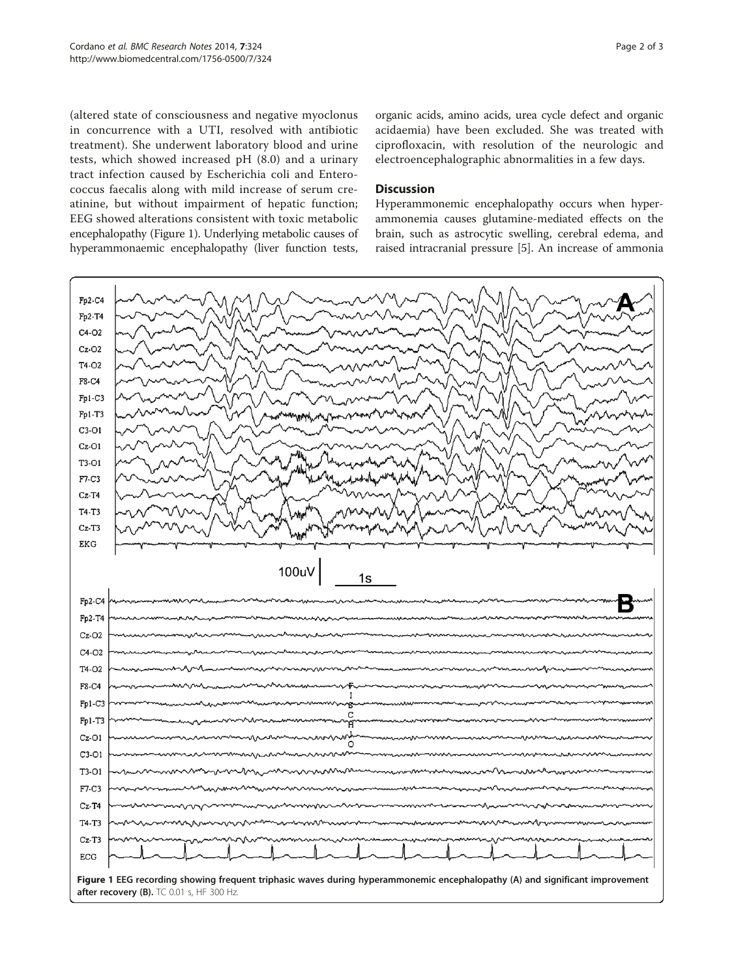(altered state of consciousness and negative myoclonus in concurrence with a UTI, resolved with antibiotic treatment). She underwent laboratory blood and urine tests, which showed increased pH (8.0) and a urinary tract infection caused by Escherichia coli and Enterococcus faecalis along with mild increase of serum creatinine, but without impairment of hepatic function; EEG showed alterations consistent with toxic metabolic encephalopathy (Figure 1). Underlying metabolic causes of hyperammonaemic encephalopathy (liver function tests,

organic acids, amino acids, urea cycle defect and organic acidaemia) have been excluded. She was treated with ciprofloxacin, with resolution of the neurologic and electroencephalographic abnormalities in a few days.

## **Discussion**

Hyperammonemic encephalopathy occurs when hyperammonemia causes glutamine-mediated effects on the brain, such as astrocytic swelling, cerebral edema, and raised intracranial pressure [\[5\]](#page-2-0). An increase of ammonia